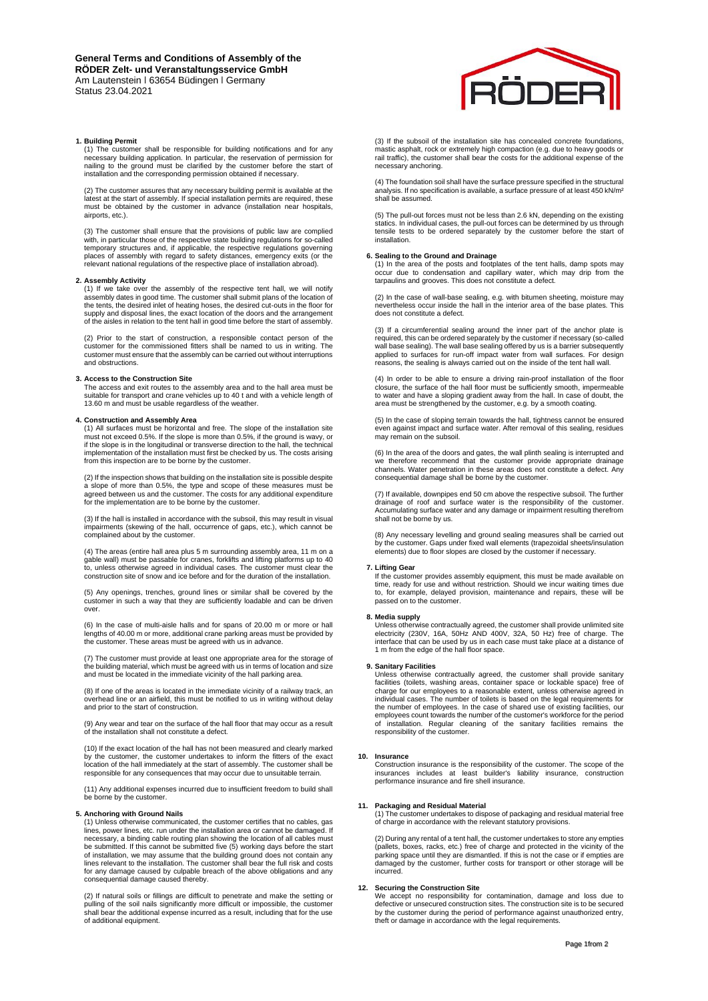### **1. Building Permit**

(1) The customer shall be responsible for building notifications and for any necessary building application. In particular, the reservation of permission for nailing to the ground must be clarified by the customer before t

(2) The customer assures that any necessary building permit is available at the latest at the start of assembly. If special installation permits are required, these must be obtained by the customer in advance (installation near hospitals, airports, etc.).

(3) The customer shall ensure that the provisions of public law are complied<br>with, in particular those of the respective state building regulations for so-called<br>temporary structures and, if applicable, the respective regu places of assembly with regard to safety distances, emergency exits (or the relevant national regulations of the respective place of installation abroad).

**2. Assembly Activity**  (1) If we take over the assembly of the respective tent hall, we will notify assembly dates in good time. The customer shall submit plans of the location of the tents, the desired inlet of heating hoses, the desired cut-outs in the floor for supply and disposal lines, the exact location of the doors and the arrangement of the aisles in relation to the tent hall in good time before the start of assembly.

(2) Prior to the start of construction, a responsible contact person of the customer for the commissioned fitters shall be named to us in writing. The customer must ensure that the assembly can be carried out without interruptions and obstructions.

### **3. Access to the Construction Site**

The access and exit routes to the assembly area and to the hall area must be suitable for transport and crane vehicles up to 40 t and with a vehicle length of 13.60 m and must be usable regardless of the weather.

# **4. Construction and Assembly Area**

(1) All surfaces must be horizontal and free. The slope of the installation site must not exceed 0.5%. If the slope is more than 0.5%, if the ground is wavy, or if the slope is in the longitudinal or transverse direction to the hall, the technical implementation of the installation must first be checked by us. The costs arising from this inspection are to be borne by the customer.

(2) If the inspection shows that building on the installation site is possible despite a slope of more than 0.5%, the type and scope of these measures must be agreed between us and the customer. The costs for any additional expenditure for the implementation are to be borne by the customer.

(3) If the hall is installed in accordance with the subsoil, this may result in visual impairments (skewing of the hall, occurrence of gaps, etc.), which cannot be complained about by the customer.

(4) The areas (entire hall area plus 5 m surrounding assembly area, 11 m on a<br>gable wall) must be passable for cranes, forklifts and lifting platforms up to 40<br>to, unless otherwise agreed in individual cases. The customer construction site of snow and ice before and for the duration of the installation.

(5) Any openings, trenches, ground lines or similar shall be covered by the customer in such a way that they are sufficiently loadable and can be driven over.

(6) In the case of multi-aisle halls and for spans of 20.00 m or more or hall lengths of 40.00 m or more, additional crane parking areas must be provided by the customer. These areas must be agreed with us in advance.

(7) The customer must provide at least one appropriate area for the storage of the building material, which must be agreed with us in terms of location and size and must be located in the immediate vicinity of the hall parking area.

(8) If one of the areas is located in the immediate vicinity of a railway track, an overhead line or an airfield, this must be notified to us in writing without delay and prior to the start of construction.

(9) Any wear and tear on the surface of the hall floor that may occur as a result of the installation shall not constitute a defect.

(10) If the exact location of the hall has not been measured and clearly marked by the customer, the customer undertakes to inform the fitters of the exact location of the hall immediately at the start of assembly. The customer shall be responsible for any consequences that may occur due to unsuitable terrain.

(11) Any additional expenses incurred due to insufficient freedom to build shall be borne by the customer.

# **5. Anchoring with Ground Nails**

(1) Unless otherwise communicated, the customer certifies that no cables, gas lines, power lines, etc. run under the installation area or cannot be damaged. If necessary, a binding cable routing plan showing the location of all cables must<br>be submitted. If this cannot be submitted five (5) working days before the start<br>of installation, we may assume that the building ground does for any damage caused by culpable breach of the above obligations and any consequential damage caused thereby.

(2) If natural soils or fillings are difficult to penetrate and make the setting or<br>pulling of the soil nails significantly more difficult or impossible, the customer<br>shall bear the additional expense incurred as a result, of additional equipment.



(3) If the subsoil of the installation site has concealed concrete foundations, mastic asphalt, rock or extremely high compaction (e.g. due to heavy goods or rail traffic), the customer shall bear the costs for the additional expense of the necessary anchoring.

(4) The foundation soil shall have the surface pressure specified in the structural<br>analysis. If no specification is available, a surface pressure of at least 450 kN/m<sup>2</sup> shall be assumed.

(5) The pull-out forces must not be less than 2.6 kN, depending on the existing statics. In individual cases, the pull-out forces can be determined by us through tensile tests to be ordered separately by the customer before the start of installation.

**6. Sealing to the Ground and Drainage**<br>(1) In the area of the posts and footplates of the tent halls, damp spots may occur due to condensation and capillary water, which may drip from the tarpaulins and grooves. This does not constitute a defect.

(2) In the case of wall-base sealing, e.g. with bitumen sheeting, moisture may nevertheless occur inside the hall in the interior area of the base plates. This does not constitute a defect.

(3) If a circumferential sealing around the inner part of the anchor plate is required, this can be ordered separately by the customer if necessary (so-called wall base sealing). The wall base sealing offered by us is a barrier subsequently applied to surfaces for run-off impact water from wall surfaces. For design reasons, the sealing is always carried out on the inside of the tent hall wall.

(4) In order to be able to ensure a driving rain-proof installation of the floor closure, the surface of the hall floor must be sufficiently smooth, impermeable to water and have a sloping gradient away from the hall. In case of doubt, the area must be strengthened by the customer, e.g. by a smooth coating.

(5) In the case of sloping terrain towards the hall, tightness cannot be ensured even against impact and surface water. After removal of this sealing, residues may remain on the subsoil.

(6) In the area of the doors and gates, the wall plinth sealing is interrupted and we therefore recommend that the customer provide appropriate drainage channels. Water penetration in these areas does not constitute a defect. Any consequential damage shall be borne by the customer.

(7) If available, downpipes end 50 cm above the respective subsoil. The further drainage of roof and surface water is the responsibility of the customer. Accumulating surface water and any damage or impairment resulting therefrom shall not be borne by us.

(8) Any necessary levelling and ground sealing measures shall be carried out by the customer. Gaps under fixed wall elements (trapezoidal sheets/insulation elements) due to floor slopes are closed by the customer if necessary.

### **7. Lifting Gear**

If the customer provides assembly equipment, this must be made available on time, ready for use and without restriction. Should we incur waiting times due to, for example, delayed provision, maintenance and repairs, these will be passed on to the customer.

**8. Media supply** Unless otherwise contractually agreed, the customer shall provide unlimited site electricity (230V, 16A, 50Hz AND 400V, 32A, 50 Hz) free of charge. The interface that can be used by us in each case must take place at a distance of 1 m from the edge of the hall floor space.

# **9. Sanitary Facilities**

Unless otherwise contractually agreed, the customer shall provide sanitary facilities (toilets, washing areas, container space or lockable space) free of charge for our employees to a reasonable extent, unless otherwise agreed in individual cases. The number of toilets is based on the legal requirements for the number of employees. In the case of shared use of existing facilities, our employees count towards the number of the customer's workforce for the period of installation. Regular cleaning of the sanitary facilities remains the responsibility of the customer.

### **10. Insurance**

Construction insurance is the responsibility of the customer. The scope of the insurances includes at least builder's liability insurance, construction performance insurance and fire shell insurance.

**11. Packaging and Residual Material**  (1) The customer undertakes to dispose of packaging and residual material free of charge in accordance with the relevant statutory provisions.

(2) During any rental of a tent hall, the customer undertakes to store any empties (pallets, boxes, racks, etc.) free of charge and protected in the vicinity of the parking space until they are dismantled. If this is not the case or if empties are damaged by the customer, further costs for transport or other storage will be incurred.

# **12. Securing the Construction Site**

We accept no responsibility for contamination, damage and loss due to defective or unsecured construction sites. The construction site is to be secured by the customer during the period of performance against unauthorized entry, theft or damage in accordance with the legal requirements.